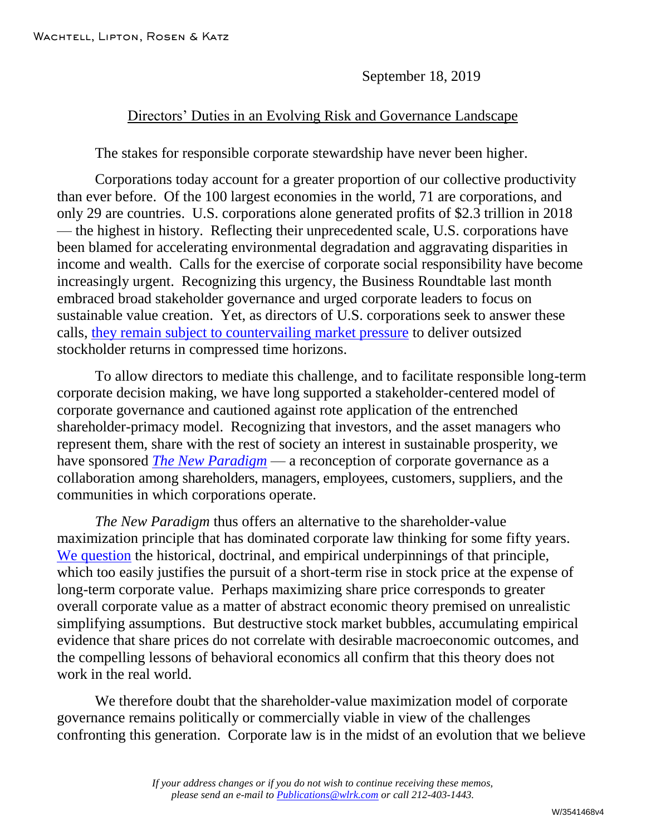September 18, 2019

## Directors' Duties in an Evolving Risk and Governance Landscape

The stakes for responsible corporate stewardship have never been higher.

Corporations today account for a greater proportion of our collective productivity than ever before. Of the 100 largest economies in the world, 71 are corporations, and only 29 are countries. U.S. corporations alone generated profits of \$2.3 trillion in 2018 — the highest in history. Reflecting their unprecedented scale, U.S. corporations have been blamed for accelerating environmental degradation and aggravating disparities in income and wealth. Calls for the exercise of corporate social responsibility have become increasingly urgent. Recognizing this urgency, the Business Roundtable last month embraced broad stakeholder governance and urged corporate leaders to focus on sustainable value creation. Yet, as directors of U.S. corporations seek to answer these calls, [they remain subject to countervailing market pressure](http://www.wlrk.com/webdocs/wlrknew/WLRKMemos/WLRK/WLRK.26364.19.pdf) to deliver outsized stockholder returns in compressed time horizons.

To allow directors to mediate this challenge, and to facilitate responsible long-term corporate decision making, we have long supported a stakeholder-centered model of corporate governance and cautioned against rote application of the entrenched shareholder-primacy model. Recognizing that investors, and the asset managers who represent them, share with the rest of society an interest in sustainable prosperity, we have sponsored *[The New Paradigm](http://www.wlrk.com/webdocs/wlrknew/WLRKMemos/WLRK/WLRK.26357.19.pdf)* — a reconception of corporate governance as a collaboration among shareholders, managers, employees, customers, suppliers, and the communities in which corporations operate.

*The New Paradigm* thus offers an alternative to the shareholder-value maximization principle that has dominated corporate law thinking for some fifty years. [We question](http://www.wlrk.com/webdocs/wlrknew/WLRKMemos/WLRK/WLRK.25924.18.pdf) the historical, doctrinal, and empirical underpinnings of that principle, which too easily justifies the pursuit of a short-term rise in stock price at the expense of long-term corporate value. Perhaps maximizing share price corresponds to greater overall corporate value as a matter of abstract economic theory premised on unrealistic simplifying assumptions. But destructive stock market bubbles, accumulating empirical evidence that share prices do not correlate with desirable macroeconomic outcomes, and the compelling lessons of behavioral economics all confirm that this theory does not work in the real world.

We therefore doubt that the shareholder-value maximization model of corporate governance remains politically or commercially viable in view of the challenges confronting this generation. Corporate law is in the midst of an evolution that we believe

> *If your address changes or if you do not wish to continue receiving these memos, please send an e-mail to [Publications@wlrk.com](mailto:Publications@wlrk.com) or call 212-403-1443.*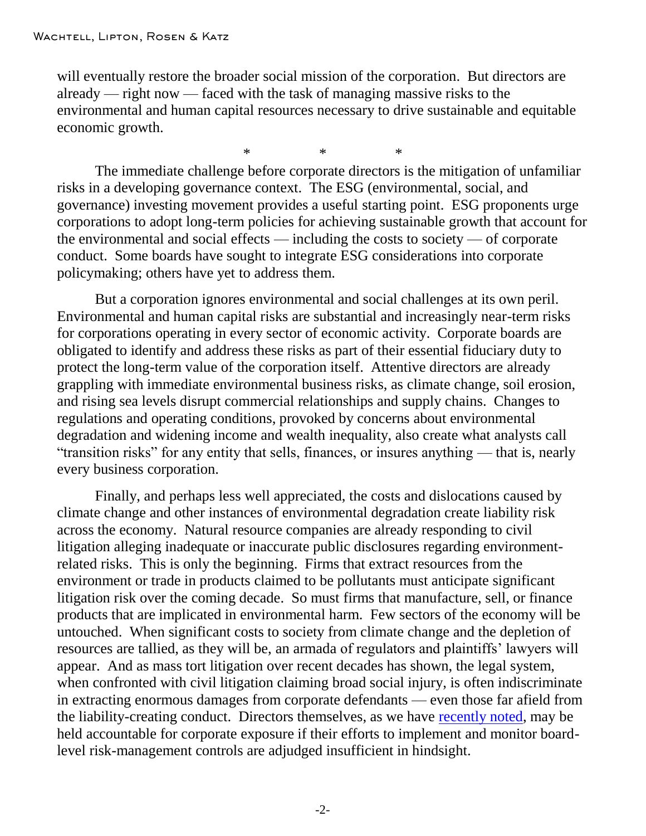will eventually restore the broader social mission of the corporation. But directors are already — right now — faced with the task of managing massive risks to the environmental and human capital resources necessary to drive sustainable and equitable economic growth.

\* \* \* The immediate challenge before corporate directors is the mitigation of unfamiliar risks in a developing governance context. The ESG (environmental, social, and governance) investing movement provides a useful starting point. ESG proponents urge corporations to adopt long-term policies for achieving sustainable growth that account for the environmental and social effects — including the costs to society — of corporate conduct. Some boards have sought to integrate ESG considerations into corporate policymaking; others have yet to address them.

But a corporation ignores environmental and social challenges at its own peril. Environmental and human capital risks are substantial and increasingly near-term risks for corporations operating in every sector of economic activity. Corporate boards are obligated to identify and address these risks as part of their essential fiduciary duty to protect the long-term value of the corporation itself. Attentive directors are already grappling with immediate environmental business risks, as climate change, soil erosion, and rising sea levels disrupt commercial relationships and supply chains. Changes to regulations and operating conditions, provoked by concerns about environmental degradation and widening income and wealth inequality, also create what analysts call "transition risks" for any entity that sells, finances, or insures anything — that is, nearly every business corporation.

Finally, and perhaps less well appreciated, the costs and dislocations caused by climate change and other instances of environmental degradation create liability risk across the economy. Natural resource companies are already responding to civil litigation alleging inadequate or inaccurate public disclosures regarding environmentrelated risks. This is only the beginning. Firms that extract resources from the environment or trade in products claimed to be pollutants must anticipate significant litigation risk over the coming decade. So must firms that manufacture, sell, or finance products that are implicated in environmental harm. Few sectors of the economy will be untouched. When significant costs to society from climate change and the depletion of resources are tallied, as they will be, an armada of regulators and plaintiffs' lawyers will appear. And as mass tort litigation over recent decades has shown, the legal system, when confronted with civil litigation claiming broad social injury, is often indiscriminate in extracting enormous damages from corporate defendants — even those far afield from the liability-creating conduct. Directors themselves, as we have [recently noted,](http://www.wlrk.com/webdocs/wlrknew/WLRKMemos/WLRK/WLRK.26467.19.pdf) may be held accountable for corporate exposure if their efforts to implement and monitor boardlevel risk-management controls are adjudged insufficient in hindsight.